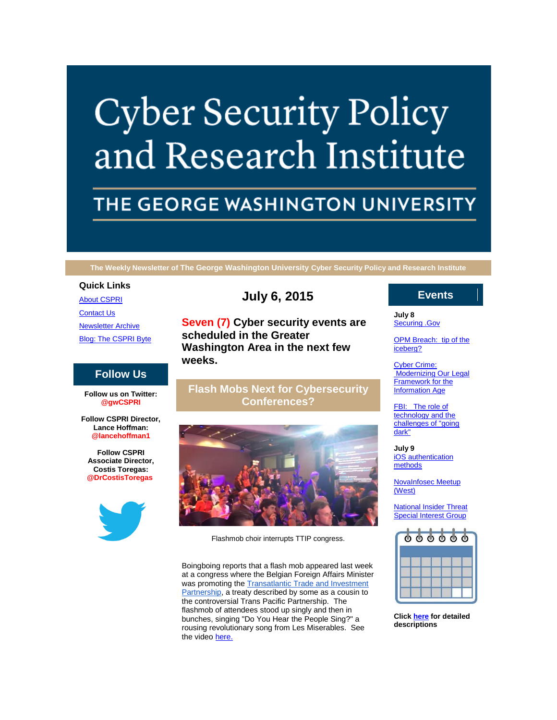# **Cyber Security Policy** and Research Institute

# THE GEORGE WASHINGTON UNIVERSITY

**The Weekly Newsletter of The George Washington University Cyber Security Policy and Research Institute**

### **Quick Links**

[About CSPRI](http://r20.rs6.net/tn.jsp?f=001G47f8FIseM07hxx5IGLO7ZB2ECafpt0VVwFqa2CkNMI1E5IqCHdRgJHXrPiTNS_NAi4ILBdzLz_JKq3Aj-dFVJE-cNZjSxe75bX9QqOPaD9k-KyF0OYhjeBDIrFKw61qJY58TWa3HE2NekdPYKlbRnFrjT4Tyxs8uPvsPIP167T-3ayPq6gCxOMkGa8FiS5c&c=EFlMJ-e7FvVof3xuVUZxMbYFNFyDH6wQiSPhb4bkIRjAseXz8dUDFg==&ch=O3Es0zs-62QEh92fPmom8voT8jaZj90RLG2LojCeEPHh742KZsT41w==) **[Contact Us](http://r20.rs6.net/tn.jsp?f=001G47f8FIseM07hxx5IGLO7ZB2ECafpt0VVwFqa2CkNMI1E5IqCHdRgJHXrPiTNS_Ng0gxEl8Q1XMdHSqqYtZB5V8ggMgG-SExK6DwJO1nLYvTHm4FFL5VXR6YhnobMwU67D7S0whlkRPuWNqvvYpWZCOK0uUe7fy5TKVCwo1TLJaGvDv4fUr5q4TGQd6ilRhRrkLONS-Qf7A=&c=EFlMJ-e7FvVof3xuVUZxMbYFNFyDH6wQiSPhb4bkIRjAseXz8dUDFg==&ch=O3Es0zs-62QEh92fPmom8voT8jaZj90RLG2LojCeEPHh742KZsT41w==)** [Newsletter Archive](http://r20.rs6.net/tn.jsp?f=001G47f8FIseM07hxx5IGLO7ZB2ECafpt0VVwFqa2CkNMI1E5IqCHdRgJHXrPiTNS_N5bILZ5CRBldXOBV6l5i2cvvQ__FZXBHYq5kCgO28f6bygRa5k4jRpGzFG-A1IzxDZOdz4lpFkURwDSM7IqNcxeaenb8F_9axz-3ml6uA2272SBpzvCFmY-h7kx1QnuweHbNhIIGgEMo=&c=EFlMJ-e7FvVof3xuVUZxMbYFNFyDH6wQiSPhb4bkIRjAseXz8dUDFg==&ch=O3Es0zs-62QEh92fPmom8voT8jaZj90RLG2LojCeEPHh742KZsT41w==) [Blog: The CSPRI Byte](http://r20.rs6.net/tn.jsp?f=001G47f8FIseM07hxx5IGLO7ZB2ECafpt0VVwFqa2CkNMI1E5IqCHdRgJHXrPiTNS_NNccR_jA9e_mV8yboMa9TmB0huQdHW5FIItjUsDeQhfghxss0F_q-HmWwOa7azneNPmWVDYjx84NXdFkbNVi7yv3WyVC-xaI9Mgpvk2EDv30V4r_pkTUvOtEFcYL4YYEA&c=EFlMJ-e7FvVof3xuVUZxMbYFNFyDH6wQiSPhb4bkIRjAseXz8dUDFg==&ch=O3Es0zs-62QEh92fPmom8voT8jaZj90RLG2LojCeEPHh742KZsT41w==)

## **Follow Us**

**Follow us on Twitter: @gwCSPRI**

**Follow CSPRI Director, Lance Hoffman: @lancehoffman1**

**Follow CSPRI Associate Director, Costis Toregas: @DrCostisToregas**



# **July 6, 2015**

**Seven (7) Cyber security events are scheduled in the Greater Washington Area in the next few weeks.**

# **Flash Mobs Next for Cybersecurity Conferences?**



Flashmob choir interrupts TTIP congress.

Boingboing reports that a flash mob appeared last week at a congress where the Belgian Foreign Affairs Minister was promoting the **Transatlantic Trade and Investment** [Partnership,](http://r20.rs6.net/tn.jsp?f=001G47f8FIseM07hxx5IGLO7ZB2ECafpt0VVwFqa2CkNMI1E5IqCHdRgDf9OtR1wmpsBgWDmBpEsFqmDb-VQ15Xwdgr2KcQbesE5WlOyNozwMKT2A0HpPpt_dP67pnnEe4Kdy1bM_7Syeyw4AJsHuR9vipZ1sigirpUzEJM_AEGTfWChjoY9MXHbv_HH4Ziwd-yx7Ezet8GgDjbEGuJSHO9yr3k5QtN9DWJ6wppsCo1LbEzXZ7-UdD78x1g2Bfd8neF_spmjqiFBwXLzZznYXAZj2uy8EKraLIs0gkemaYp58c=&c=EFlMJ-e7FvVof3xuVUZxMbYFNFyDH6wQiSPhb4bkIRjAseXz8dUDFg==&ch=O3Es0zs-62QEh92fPmom8voT8jaZj90RLG2LojCeEPHh742KZsT41w==) a treaty described by some as a cousin to the controversial Trans Pacific Partnership. The flashmob of attendees stood up singly and then in bunches, singing "Do You Hear the People Sing?" a rousing revolutionary song from Les Miserables. See the video [here.](http://r20.rs6.net/tn.jsp?f=001G47f8FIseM07hxx5IGLO7ZB2ECafpt0VVwFqa2CkNMI1E5IqCHdRgDf9OtR1wmpsftG36_2nmnnxmi58kSjbbJp66prU-qy5KB78DZmJrrRf2lcde88WCl6WneipM_R2vfU35kClifjV25W5YN3KgJJDzj6mTrnLQlfZp2uB7Q-ZopOy75_kc2eOG0kSIq0idsLVmN_B9UA=&c=EFlMJ-e7FvVof3xuVUZxMbYFNFyDH6wQiSPhb4bkIRjAseXz8dUDFg==&ch=O3Es0zs-62QEh92fPmom8voT8jaZj90RLG2LojCeEPHh742KZsT41w==)

# **Events**

**July 8** [Securing .Gov](http://r20.rs6.net/tn.jsp?f=001G47f8FIseM07hxx5IGLO7ZB2ECafpt0VVwFqa2CkNMI1E5IqCHdRgKLsOgAJqHa0e04RiN70qANN5t3GRRkFqX6OAjvdw2585SGemwzEBKOZdDsnSJ7fJ2D_qZgb1cnmssmMn3nRziYl3o81Vcl1dKttM3i-TX3ARoHx0Epq00L31rItpIYLJxouSZQsJ9Yx2t5vBDaEZN8=&c=EFlMJ-e7FvVof3xuVUZxMbYFNFyDH6wQiSPhb4bkIRjAseXz8dUDFg==&ch=O3Es0zs-62QEh92fPmom8voT8jaZj90RLG2LojCeEPHh742KZsT41w==)

[OPM Breach: tip of the](http://r20.rs6.net/tn.jsp?f=001G47f8FIseM07hxx5IGLO7ZB2ECafpt0VVwFqa2CkNMI1E5IqCHdRgKLsOgAJqHa0e04RiN70qANN5t3GRRkFqX6OAjvdw2585SGemwzEBKOZdDsnSJ7fJ2D_qZgb1cnmssmMn3nRziYl3o81Vcl1dKttM3i-TX3ARoHx0Epq00L31rItpIYLJxouSZQsJ9Yx2t5vBDaEZN8=&c=EFlMJ-e7FvVof3xuVUZxMbYFNFyDH6wQiSPhb4bkIRjAseXz8dUDFg==&ch=O3Es0zs-62QEh92fPmom8voT8jaZj90RLG2LojCeEPHh742KZsT41w==)  [iceberg?](http://r20.rs6.net/tn.jsp?f=001G47f8FIseM07hxx5IGLO7ZB2ECafpt0VVwFqa2CkNMI1E5IqCHdRgKLsOgAJqHa0e04RiN70qANN5t3GRRkFqX6OAjvdw2585SGemwzEBKOZdDsnSJ7fJ2D_qZgb1cnmssmMn3nRziYl3o81Vcl1dKttM3i-TX3ARoHx0Epq00L31rItpIYLJxouSZQsJ9Yx2t5vBDaEZN8=&c=EFlMJ-e7FvVof3xuVUZxMbYFNFyDH6wQiSPhb4bkIRjAseXz8dUDFg==&ch=O3Es0zs-62QEh92fPmom8voT8jaZj90RLG2LojCeEPHh742KZsT41w==)

[Cyber Crime:](http://r20.rs6.net/tn.jsp?f=001G47f8FIseM07hxx5IGLO7ZB2ECafpt0VVwFqa2CkNMI1E5IqCHdRgKLsOgAJqHa0e04RiN70qANN5t3GRRkFqX6OAjvdw2585SGemwzEBKOZdDsnSJ7fJ2D_qZgb1cnmssmMn3nRziYl3o81Vcl1dKttM3i-TX3ARoHx0Epq00L31rItpIYLJxouSZQsJ9Yx2t5vBDaEZN8=&c=EFlMJ-e7FvVof3xuVUZxMbYFNFyDH6wQiSPhb4bkIRjAseXz8dUDFg==&ch=O3Es0zs-62QEh92fPmom8voT8jaZj90RLG2LojCeEPHh742KZsT41w==)  Modernizing Our Legal [Framework for the](http://r20.rs6.net/tn.jsp?f=001G47f8FIseM07hxx5IGLO7ZB2ECafpt0VVwFqa2CkNMI1E5IqCHdRgKLsOgAJqHa0e04RiN70qANN5t3GRRkFqX6OAjvdw2585SGemwzEBKOZdDsnSJ7fJ2D_qZgb1cnmssmMn3nRziYl3o81Vcl1dKttM3i-TX3ARoHx0Epq00L31rItpIYLJxouSZQsJ9Yx2t5vBDaEZN8=&c=EFlMJ-e7FvVof3xuVUZxMbYFNFyDH6wQiSPhb4bkIRjAseXz8dUDFg==&ch=O3Es0zs-62QEh92fPmom8voT8jaZj90RLG2LojCeEPHh742KZsT41w==)  **[Information Age](http://r20.rs6.net/tn.jsp?f=001G47f8FIseM07hxx5IGLO7ZB2ECafpt0VVwFqa2CkNMI1E5IqCHdRgKLsOgAJqHa0e04RiN70qANN5t3GRRkFqX6OAjvdw2585SGemwzEBKOZdDsnSJ7fJ2D_qZgb1cnmssmMn3nRziYl3o81Vcl1dKttM3i-TX3ARoHx0Epq00L31rItpIYLJxouSZQsJ9Yx2t5vBDaEZN8=&c=EFlMJ-e7FvVof3xuVUZxMbYFNFyDH6wQiSPhb4bkIRjAseXz8dUDFg==&ch=O3Es0zs-62QEh92fPmom8voT8jaZj90RLG2LojCeEPHh742KZsT41w==)** 

FBI: The role of [technology and the](http://r20.rs6.net/tn.jsp?f=001G47f8FIseM07hxx5IGLO7ZB2ECafpt0VVwFqa2CkNMI1E5IqCHdRgKLsOgAJqHa0e04RiN70qANN5t3GRRkFqX6OAjvdw2585SGemwzEBKOZdDsnSJ7fJ2D_qZgb1cnmssmMn3nRziYl3o81Vcl1dKttM3i-TX3ARoHx0Epq00L31rItpIYLJxouSZQsJ9Yx2t5vBDaEZN8=&c=EFlMJ-e7FvVof3xuVUZxMbYFNFyDH6wQiSPhb4bkIRjAseXz8dUDFg==&ch=O3Es0zs-62QEh92fPmom8voT8jaZj90RLG2LojCeEPHh742KZsT41w==)  [challenges of "going](http://r20.rs6.net/tn.jsp?f=001G47f8FIseM07hxx5IGLO7ZB2ECafpt0VVwFqa2CkNMI1E5IqCHdRgKLsOgAJqHa0e04RiN70qANN5t3GRRkFqX6OAjvdw2585SGemwzEBKOZdDsnSJ7fJ2D_qZgb1cnmssmMn3nRziYl3o81Vcl1dKttM3i-TX3ARoHx0Epq00L31rItpIYLJxouSZQsJ9Yx2t5vBDaEZN8=&c=EFlMJ-e7FvVof3xuVUZxMbYFNFyDH6wQiSPhb4bkIRjAseXz8dUDFg==&ch=O3Es0zs-62QEh92fPmom8voT8jaZj90RLG2LojCeEPHh742KZsT41w==)  [dark"](http://r20.rs6.net/tn.jsp?f=001G47f8FIseM07hxx5IGLO7ZB2ECafpt0VVwFqa2CkNMI1E5IqCHdRgKLsOgAJqHa0e04RiN70qANN5t3GRRkFqX6OAjvdw2585SGemwzEBKOZdDsnSJ7fJ2D_qZgb1cnmssmMn3nRziYl3o81Vcl1dKttM3i-TX3ARoHx0Epq00L31rItpIYLJxouSZQsJ9Yx2t5vBDaEZN8=&c=EFlMJ-e7FvVof3xuVUZxMbYFNFyDH6wQiSPhb4bkIRjAseXz8dUDFg==&ch=O3Es0zs-62QEh92fPmom8voT8jaZj90RLG2LojCeEPHh742KZsT41w==)

**July 9** [iOS authentication](http://r20.rs6.net/tn.jsp?f=001G47f8FIseM07hxx5IGLO7ZB2ECafpt0VVwFqa2CkNMI1E5IqCHdRgKLsOgAJqHa0e04RiN70qANN5t3GRRkFqX6OAjvdw2585SGemwzEBKOZdDsnSJ7fJ2D_qZgb1cnmssmMn3nRziYl3o81Vcl1dKttM3i-TX3ARoHx0Epq00L31rItpIYLJxouSZQsJ9Yx2t5vBDaEZN8=&c=EFlMJ-e7FvVof3xuVUZxMbYFNFyDH6wQiSPhb4bkIRjAseXz8dUDFg==&ch=O3Es0zs-62QEh92fPmom8voT8jaZj90RLG2LojCeEPHh742KZsT41w==)  [methods](http://r20.rs6.net/tn.jsp?f=001G47f8FIseM07hxx5IGLO7ZB2ECafpt0VVwFqa2CkNMI1E5IqCHdRgKLsOgAJqHa0e04RiN70qANN5t3GRRkFqX6OAjvdw2585SGemwzEBKOZdDsnSJ7fJ2D_qZgb1cnmssmMn3nRziYl3o81Vcl1dKttM3i-TX3ARoHx0Epq00L31rItpIYLJxouSZQsJ9Yx2t5vBDaEZN8=&c=EFlMJ-e7FvVof3xuVUZxMbYFNFyDH6wQiSPhb4bkIRjAseXz8dUDFg==&ch=O3Es0zs-62QEh92fPmom8voT8jaZj90RLG2LojCeEPHh742KZsT41w==)

[NovaInfosec Meetup](http://r20.rs6.net/tn.jsp?f=001G47f8FIseM07hxx5IGLO7ZB2ECafpt0VVwFqa2CkNMI1E5IqCHdRgKLsOgAJqHa0e04RiN70qANN5t3GRRkFqX6OAjvdw2585SGemwzEBKOZdDsnSJ7fJ2D_qZgb1cnmssmMn3nRziYl3o81Vcl1dKttM3i-TX3ARoHx0Epq00L31rItpIYLJxouSZQsJ9Yx2t5vBDaEZN8=&c=EFlMJ-e7FvVof3xuVUZxMbYFNFyDH6wQiSPhb4bkIRjAseXz8dUDFg==&ch=O3Es0zs-62QEh92fPmom8voT8jaZj90RLG2LojCeEPHh742KZsT41w==)  [\(West\)](http://r20.rs6.net/tn.jsp?f=001G47f8FIseM07hxx5IGLO7ZB2ECafpt0VVwFqa2CkNMI1E5IqCHdRgKLsOgAJqHa0e04RiN70qANN5t3GRRkFqX6OAjvdw2585SGemwzEBKOZdDsnSJ7fJ2D_qZgb1cnmssmMn3nRziYl3o81Vcl1dKttM3i-TX3ARoHx0Epq00L31rItpIYLJxouSZQsJ9Yx2t5vBDaEZN8=&c=EFlMJ-e7FvVof3xuVUZxMbYFNFyDH6wQiSPhb4bkIRjAseXz8dUDFg==&ch=O3Es0zs-62QEh92fPmom8voT8jaZj90RLG2LojCeEPHh742KZsT41w==)

[National Insider Threat](http://r20.rs6.net/tn.jsp?f=001G47f8FIseM07hxx5IGLO7ZB2ECafpt0VVwFqa2CkNMI1E5IqCHdRgKLsOgAJqHa0e04RiN70qANN5t3GRRkFqX6OAjvdw2585SGemwzEBKOZdDsnSJ7fJ2D_qZgb1cnmssmMn3nRziYl3o81Vcl1dKttM3i-TX3ARoHx0Epq00L31rItpIYLJxouSZQsJ9Yx2t5vBDaEZN8=&c=EFlMJ-e7FvVof3xuVUZxMbYFNFyDH6wQiSPhb4bkIRjAseXz8dUDFg==&ch=O3Es0zs-62QEh92fPmom8voT8jaZj90RLG2LojCeEPHh742KZsT41w==)  [Special Interest Group](http://r20.rs6.net/tn.jsp?f=001G47f8FIseM07hxx5IGLO7ZB2ECafpt0VVwFqa2CkNMI1E5IqCHdRgKLsOgAJqHa0e04RiN70qANN5t3GRRkFqX6OAjvdw2585SGemwzEBKOZdDsnSJ7fJ2D_qZgb1cnmssmMn3nRziYl3o81Vcl1dKttM3i-TX3ARoHx0Epq00L31rItpIYLJxouSZQsJ9Yx2t5vBDaEZN8=&c=EFlMJ-e7FvVof3xuVUZxMbYFNFyDH6wQiSPhb4bkIRjAseXz8dUDFg==&ch=O3Es0zs-62QEh92fPmom8voT8jaZj90RLG2LojCeEPHh742KZsT41w==)

|  | 000000 |  |
|--|--------|--|
|  |        |  |
|  |        |  |
|  |        |  |

**Click [here](http://r20.rs6.net/tn.jsp?f=001G47f8FIseM07hxx5IGLO7ZB2ECafpt0VVwFqa2CkNMI1E5IqCHdRgJHXrPiTNS_NGvT2ksSXbWHuo_dddD9H_mp95K0oBGF4ni6U465VOADhkSnsec8ETApOJIO9C7xlGXHooo1OKEpcx4xhUWom6OsfuQstf5eQVyDpHoTtJzcMXVyeS6ko2XhZ8BG2yKwCSIK5izU25pckMoTL1zq7sw==&c=EFlMJ-e7FvVof3xuVUZxMbYFNFyDH6wQiSPhb4bkIRjAseXz8dUDFg==&ch=O3Es0zs-62QEh92fPmom8voT8jaZj90RLG2LojCeEPHh742KZsT41w==) for detailed descriptions**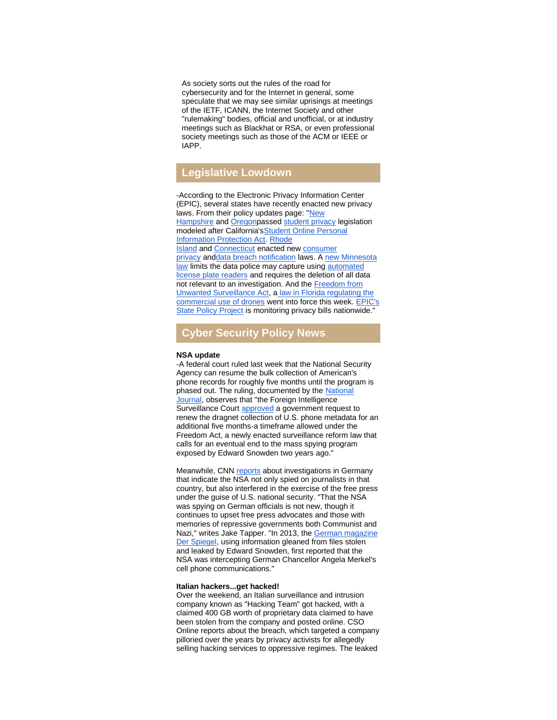As society sorts out the rules of the road for cybersecurity and for the Internet in general, some speculate that we may see similar uprisings at meetings of the IETF, ICANN, the Internet Society and other "rulemaking" bodies, official and unofficial, or at industry meetings such as Blackhat or RSA, or even professional society meetings such as those of the ACM or IEEE or IAPP.

# **Legislative Lowdown**

-According to the Electronic Privacy Information Center (EPIC), several states have recently enacted new privacy laws. From their policy updates page: ["New](http://r20.rs6.net/tn.jsp?f=001G47f8FIseM07hxx5IGLO7ZB2ECafpt0VVwFqa2CkNMI1E5IqCHdRgDf9OtR1wmpsAQJ4FNQfWpdRMJ6VH3FFjaRwyDne4iHMq4X7qrWPmgSyIcaOcZ33bZuzmse68_fY11vPLV2ZOs0GPNGP4C04wBJcYd6coNf5uivphpMnR0TfZAfNqJ4P3hUdGrZGkbJNJhhIB0z8CSLcp83DpxDiR1V_dlvSzh27&c=EFlMJ-e7FvVof3xuVUZxMbYFNFyDH6wQiSPhb4bkIRjAseXz8dUDFg==&ch=O3Es0zs-62QEh92fPmom8voT8jaZj90RLG2LojCeEPHh742KZsT41w==)  [Hampshire](http://r20.rs6.net/tn.jsp?f=001G47f8FIseM07hxx5IGLO7ZB2ECafpt0VVwFqa2CkNMI1E5IqCHdRgDf9OtR1wmpsAQJ4FNQfWpdRMJ6VH3FFjaRwyDne4iHMq4X7qrWPmgSyIcaOcZ33bZuzmse68_fY11vPLV2ZOs0GPNGP4C04wBJcYd6coNf5uivphpMnR0TfZAfNqJ4P3hUdGrZGkbJNJhhIB0z8CSLcp83DpxDiR1V_dlvSzh27&c=EFlMJ-e7FvVof3xuVUZxMbYFNFyDH6wQiSPhb4bkIRjAseXz8dUDFg==&ch=O3Es0zs-62QEh92fPmom8voT8jaZj90RLG2LojCeEPHh742KZsT41w==) and [Oregonp](http://r20.rs6.net/tn.jsp?f=001G47f8FIseM07hxx5IGLO7ZB2ECafpt0VVwFqa2CkNMI1E5IqCHdRgDf9OtR1wmpsocVTW-vc3d7KaAtfNFr2Vcoz7wzCj1BZKtz7HyvLfAb91lqPLqfOXjDmQ3EuV06hpBJaJKNhuCfiPxr0hekHpQbabgfFuiwLubeEZ83fnM-GTfXHWQ1GOWxzBGj9bt_DU8Rpoccn6V8GiObRlmpTTu6ZwIEZgDlQi74XnpklxkL51TFpuNqGgQzM1a5eTW0InIwXkfED7Z8=&c=EFlMJ-e7FvVof3xuVUZxMbYFNFyDH6wQiSPhb4bkIRjAseXz8dUDFg==&ch=O3Es0zs-62QEh92fPmom8voT8jaZj90RLG2LojCeEPHh742KZsT41w==)assed [student privacy](http://r20.rs6.net/tn.jsp?f=001G47f8FIseM07hxx5IGLO7ZB2ECafpt0VVwFqa2CkNMI1E5IqCHdRgDf9OtR1wmpsBbXduHKrFdz055LgvmArrKo2sXJU-PicDRCi5Hy8W2kIwbAobKSOWjo-J8J5q4TWO94Eve1UYpu3xA_zDySwvADJPgW8hBLgfeUakL-NErvTfGtbYPzwldJCHGIYguNw&c=EFlMJ-e7FvVof3xuVUZxMbYFNFyDH6wQiSPhb4bkIRjAseXz8dUDFg==&ch=O3Es0zs-62QEh92fPmom8voT8jaZj90RLG2LojCeEPHh742KZsT41w==) legislation modeled after California'[sStudent Online Personal](http://r20.rs6.net/tn.jsp?f=001G47f8FIseM07hxx5IGLO7ZB2ECafpt0VVwFqa2CkNMI1E5IqCHdRgDf9OtR1wmpsT9u-Glfybuv0sUwJ3eIT6QkNUA5vBZiDJpx5EDjrTv6Ad9FPHMxtXKqZow7y47kyDJONGissShqZM-CWlU0DLpvkOYmarnjfCTij3X5EX44_Mf03H8M2fP6VpSCC1vrzSb7xxkPiMUO6ILiufowdkw==&c=EFlMJ-e7FvVof3xuVUZxMbYFNFyDH6wQiSPhb4bkIRjAseXz8dUDFg==&ch=O3Es0zs-62QEh92fPmom8voT8jaZj90RLG2LojCeEPHh742KZsT41w==)  [Information Protection Act.](http://r20.rs6.net/tn.jsp?f=001G47f8FIseM07hxx5IGLO7ZB2ECafpt0VVwFqa2CkNMI1E5IqCHdRgDf9OtR1wmpsT9u-Glfybuv0sUwJ3eIT6QkNUA5vBZiDJpx5EDjrTv6Ad9FPHMxtXKqZow7y47kyDJONGissShqZM-CWlU0DLpvkOYmarnjfCTij3X5EX44_Mf03H8M2fP6VpSCC1vrzSb7xxkPiMUO6ILiufowdkw==&c=EFlMJ-e7FvVof3xuVUZxMbYFNFyDH6wQiSPhb4bkIRjAseXz8dUDFg==&ch=O3Es0zs-62QEh92fPmom8voT8jaZj90RLG2LojCeEPHh742KZsT41w==) [Rhode](http://r20.rs6.net/tn.jsp?f=001G47f8FIseM07hxx5IGLO7ZB2ECafpt0VVwFqa2CkNMI1E5IqCHdRgDf9OtR1wmpstoMS1A5SGWj_220_U2QK6LwlCuro7J6gLqpvTtAxCVHku5ccMdmkjeYNk4pVbhdupeEFtP626svtlr-_yA6sFEdazONbsLWYRv3wwbsM48qw9ie-anNpoej4r_1Rr0vaEMGt39YkecPQEYo79jAhzVOt8BAqLwUO3m8ccd4aaBs=&c=EFlMJ-e7FvVof3xuVUZxMbYFNFyDH6wQiSPhb4bkIRjAseXz8dUDFg==&ch=O3Es0zs-62QEh92fPmom8voT8jaZj90RLG2LojCeEPHh742KZsT41w==)  [Island](http://r20.rs6.net/tn.jsp?f=001G47f8FIseM07hxx5IGLO7ZB2ECafpt0VVwFqa2CkNMI1E5IqCHdRgDf9OtR1wmpstoMS1A5SGWj_220_U2QK6LwlCuro7J6gLqpvTtAxCVHku5ccMdmkjeYNk4pVbhdupeEFtP626svtlr-_yA6sFEdazONbsLWYRv3wwbsM48qw9ie-anNpoej4r_1Rr0vaEMGt39YkecPQEYo79jAhzVOt8BAqLwUO3m8ccd4aaBs=&c=EFlMJ-e7FvVof3xuVUZxMbYFNFyDH6wQiSPhb4bkIRjAseXz8dUDFg==&ch=O3Es0zs-62QEh92fPmom8voT8jaZj90RLG2LojCeEPHh742KZsT41w==) and [Connecticut](http://r20.rs6.net/tn.jsp?f=001G47f8FIseM07hxx5IGLO7ZB2ECafpt0VVwFqa2CkNMI1E5IqCHdRgDf9OtR1wmps3Rd79Xpe4uDYpHVWZV-JaqZa4R_SHThv5aqag9H1J8Cc64Bfyg6ArAHUZskYEgf1fD2kl_wGKT9-WHYkjJnoFXxtgyEb-i4QgG3uJCgD6RwY2nTXdVb3GbQD8hPfgIp02zsGFsq4gSiNn6oykFkiHll26Tdqn7ztiYwQL4TMmFE=&c=EFlMJ-e7FvVof3xuVUZxMbYFNFyDH6wQiSPhb4bkIRjAseXz8dUDFg==&ch=O3Es0zs-62QEh92fPmom8voT8jaZj90RLG2LojCeEPHh742KZsT41w==) enacted new [consumer](http://r20.rs6.net/tn.jsp?f=001G47f8FIseM07hxx5IGLO7ZB2ECafpt0VVwFqa2CkNMI1E5IqCHdRgDf9OtR1wmpsl4axaOXedCkAnbjmDBstX_1i9XTH6QGS2L17aW50aAZwvzFW-OYKTYv1g5zKV6hiCC64seZuv_tKTPPjIInoEIoy4IcAFq-eYA3BRl4gi5CCAG-074uJy7AxOAuyngYH&c=EFlMJ-e7FvVof3xuVUZxMbYFNFyDH6wQiSPhb4bkIRjAseXz8dUDFg==&ch=O3Es0zs-62QEh92fPmom8voT8jaZj90RLG2LojCeEPHh742KZsT41w==)  [privacy](http://r20.rs6.net/tn.jsp?f=001G47f8FIseM07hxx5IGLO7ZB2ECafpt0VVwFqa2CkNMI1E5IqCHdRgDf9OtR1wmpsl4axaOXedCkAnbjmDBstX_1i9XTH6QGS2L17aW50aAZwvzFW-OYKTYv1g5zKV6hiCC64seZuv_tKTPPjIInoEIoy4IcAFq-eYA3BRl4gi5CCAG-074uJy7AxOAuyngYH&c=EFlMJ-e7FvVof3xuVUZxMbYFNFyDH6wQiSPhb4bkIRjAseXz8dUDFg==&ch=O3Es0zs-62QEh92fPmom8voT8jaZj90RLG2LojCeEPHh742KZsT41w==) an[ddata breach notification](http://r20.rs6.net/tn.jsp?f=001G47f8FIseM07hxx5IGLO7ZB2ECafpt0VVwFqa2CkNMI1E5IqCHdRgDf9OtR1wmpsQCNtV44scadLQY3tdFbtRmHLP4NQ7uVViXZXIIkrkrJHIdc1IO8nrUlRanToSB9vWTCwUbZ_klGa5PZ38cYjdGbq1XsKhZ2ziBIuE5ZcDA2jhZbMsgCxjus0CfpqEzQ-10A_m8_Texk=&c=EFlMJ-e7FvVof3xuVUZxMbYFNFyDH6wQiSPhb4bkIRjAseXz8dUDFg==&ch=O3Es0zs-62QEh92fPmom8voT8jaZj90RLG2LojCeEPHh742KZsT41w==) laws. A new Minnesota [law](http://r20.rs6.net/tn.jsp?f=001G47f8FIseM07hxx5IGLO7ZB2ECafpt0VVwFqa2CkNMI1E5IqCHdRgDf9OtR1wmpsXk6SV9rci3ZOXlYLC1c8Pdt4CEuXz8hxWiyGiZVSzPQuKTMqcGDhcaG06f-3zz4f9KqcoHwhMqaXdIMct-otm0jAcDYEnGGWSU8MERdxNVNtXofEhoi3cTJUTpQQ5lqR-x30oAMDxT_X57P8kiO5eYu_ijUeQnIHVY8QSyZx9eapExAp_UD75yOKCTejE6G3&c=EFlMJ-e7FvVof3xuVUZxMbYFNFyDH6wQiSPhb4bkIRjAseXz8dUDFg==&ch=O3Es0zs-62QEh92fPmom8voT8jaZj90RLG2LojCeEPHh742KZsT41w==) limits the data police may capture using automated [license plate readers](http://r20.rs6.net/tn.jsp?f=001G47f8FIseM07hxx5IGLO7ZB2ECafpt0VVwFqa2CkNMI1E5IqCHdRgDf9OtR1wmpsOswGNn8uzORVIMJXqetaEYvD7m3iCp32GG7Pzk6kwXlWl-do-9zcGdNqJ9t6ydahMhrSboJG7Vhch_NxwegI3_V09UCwsWd8tN01GPuvE8rmKbyACidTYllokFr5j2kS&c=EFlMJ-e7FvVof3xuVUZxMbYFNFyDH6wQiSPhb4bkIRjAseXz8dUDFg==&ch=O3Es0zs-62QEh92fPmom8voT8jaZj90RLG2LojCeEPHh742KZsT41w==) and requires the deletion of all data not relevant to an investigation. And the **Freedom from** [Unwanted Surveillance Act,](http://r20.rs6.net/tn.jsp?f=001G47f8FIseM07hxx5IGLO7ZB2ECafpt0VVwFqa2CkNMI1E5IqCHdRgDf9OtR1wmpseYtChu7giSgplFHv-6ftGj2fgjLg3Q88Ji4IJF7iA8mcjV8jgPotYUEmeyE-3rnulJlPl2tHoe94-cj0wgbLryHG7sCzmYBx7r0TkBF-RO1wO5cL-dRDCjwebhHM9QPbN3rqwNFZ85wum_878ILkMLZYy3k7WL-yvZOTPsPHA_YrBQIEVCYFzA==&c=EFlMJ-e7FvVof3xuVUZxMbYFNFyDH6wQiSPhb4bkIRjAseXz8dUDFg==&ch=O3Es0zs-62QEh92fPmom8voT8jaZj90RLG2LojCeEPHh742KZsT41w==) a law in Florida regulating the commercial use of drones went into force this week. EPIC's [State Policy Project](http://r20.rs6.net/tn.jsp?f=001G47f8FIseM07hxx5IGLO7ZB2ECafpt0VVwFqa2CkNMI1E5IqCHdRgDf9OtR1wmpsig-gWN8jOstg0aCMiizo-NngglWCFHdio1tw9VqXyUE5o3BOG428BXjBRB8E0lZb7C0BKbeHceORrILLLj8rW4auPJmc3Bme_DAohMcV5N_Qgc6NwLyWeg==&c=EFlMJ-e7FvVof3xuVUZxMbYFNFyDH6wQiSPhb4bkIRjAseXz8dUDFg==&ch=O3Es0zs-62QEh92fPmom8voT8jaZj90RLG2LojCeEPHh742KZsT41w==) is monitoring privacy bills nationwide."

# **Cyber Security Policy News**

#### **NSA update**

-A federal court ruled last week that the National Security Agency can resume the bulk collection of American's phone records for roughly five months until the program is phased out. The ruling, documented by the National [Journal,](http://r20.rs6.net/tn.jsp?f=001G47f8FIseM07hxx5IGLO7ZB2ECafpt0VVwFqa2CkNMI1E5IqCHdRgDf9OtR1wmpsCm8NhkWbJjEIwd7lOrhg1cOZXdKEvBKx3L2nyA0udNaExbOETVDuKMz2KZYloV_MOytwBaNHiEJEiG7hpayyM-U1FyJFMZvWSu3s1dja6aK7JOYc1biIeEfJ6OD9isbSOuXyKE_gzlW98Fo61mcbrtfb2nKuEY48WyPVJWPI4-5qXjkyrHwht6UdnxfJY2wZL9o5VILdvWJhK7tpkGE1mqbhTY4qN-KpZiDFjhO8Q0VXvBEkgm7Zcrxkqlp_OKuKGcEbNZDRMPW5LR-9her6uKuE1DOdlJDUD1bZ3r8ufns3wfwCrtwqubxhg_h1ktkHqpjHVcFxCmrpUbjW57L8eg==&c=EFlMJ-e7FvVof3xuVUZxMbYFNFyDH6wQiSPhb4bkIRjAseXz8dUDFg==&ch=O3Es0zs-62QEh92fPmom8voT8jaZj90RLG2LojCeEPHh742KZsT41w==) observes that "the Foreign Intelligence Surveillance Court [approved](http://r20.rs6.net/tn.jsp?f=001G47f8FIseM07hxx5IGLO7ZB2ECafpt0VVwFqa2CkNMI1E5IqCHdRgDf9OtR1wmpshjckcWIMMSm9XIeQauT0ZQ5JFnYxwC1ku-rqlpJbZTa8JabFmwwZr6fkcskDlWj4n2nkKqspXNSFx4Zq_HHiMb5-KL4Ju6ncbMaTBdMRRnCbYQGWW4SvjxA0ylOc8F9gb6pBpXzZkYCYlkXnfzujknlym8IC4cELi5Udx2aBDCKucy3QDseHAfF6IUGB0_aRelQUixPQlug=&c=EFlMJ-e7FvVof3xuVUZxMbYFNFyDH6wQiSPhb4bkIRjAseXz8dUDFg==&ch=O3Es0zs-62QEh92fPmom8voT8jaZj90RLG2LojCeEPHh742KZsT41w==) a government request to renew the dragnet collection of U.S. phone metadata for an additional five months-a timeframe allowed under the Freedom Act, a newly enacted surveillance reform law that calls for an eventual end to the mass spying program exposed by Edward Snowden two years ago."

Meanwhile, CNN [reports](http://r20.rs6.net/tn.jsp?f=001G47f8FIseM07hxx5IGLO7ZB2ECafpt0VVwFqa2CkNMI1E5IqCHdRgDf9OtR1wmps4kNhTqunP58OWQ1ZhaYTEMTXpdfJ_9be-NhX1_tyz3ZSPyJrHuFO-wPDQPKmOCRjsTmgiDAbnV0QFV24Dq4UPs2iLwfwSfyTd1aP5x7Rc9MnJ4ah12g8AoSddeAvly3kJVzY4ryvqAKAmOO9srwXB4YPMfoRcWd8gztByNpbfdDBeZ6AxQYZkYFz-KIYsvdbG3C9WCteHUbJ7WjrnAnJjQ==&c=EFlMJ-e7FvVof3xuVUZxMbYFNFyDH6wQiSPhb4bkIRjAseXz8dUDFg==&ch=O3Es0zs-62QEh92fPmom8voT8jaZj90RLG2LojCeEPHh742KZsT41w==) about investigations in Germany that indicate the NSA not only spied on journalists in that country, but also interfered in the exercise of the free press under the guise of U.S. national security. "That the NSA was spying on German officials is not new, though it continues to upset free press advocates and those with memories of repressive governments both Communist and Nazi," writes Jake Tapper. "In 2013, the [German magazine](http://r20.rs6.net/tn.jsp?f=001G47f8FIseM07hxx5IGLO7ZB2ECafpt0VVwFqa2CkNMI1E5IqCHdRgDf9OtR1wmpskhiVvu92QyacMk4m0G-SJzHzeDoXYrulek_cNHN0LN4Xv0WVQ__fpwmHfk8uZ3CAURQzcwHM21OjIU0CyCbGeAlcO8Ng7Mgdu0nCj1dDHq29r50-ymWh8BhBgA0m-nIXD_dVrnbQF7sPp95FpNUXFd55DKJsk8T6f-antNoKSEGcsAN3sy1KFEYAfq6XXdwN00oUkxnnFYTXP_MnqNWOV7GbPJN2QNtIuhhpe2GV_JVRWN6QU0E3OA==&c=EFlMJ-e7FvVof3xuVUZxMbYFNFyDH6wQiSPhb4bkIRjAseXz8dUDFg==&ch=O3Es0zs-62QEh92fPmom8voT8jaZj90RLG2LojCeEPHh742KZsT41w==)  [Der Spiegel,](http://r20.rs6.net/tn.jsp?f=001G47f8FIseM07hxx5IGLO7ZB2ECafpt0VVwFqa2CkNMI1E5IqCHdRgDf9OtR1wmpskhiVvu92QyacMk4m0G-SJzHzeDoXYrulek_cNHN0LN4Xv0WVQ__fpwmHfk8uZ3CAURQzcwHM21OjIU0CyCbGeAlcO8Ng7Mgdu0nCj1dDHq29r50-ymWh8BhBgA0m-nIXD_dVrnbQF7sPp95FpNUXFd55DKJsk8T6f-antNoKSEGcsAN3sy1KFEYAfq6XXdwN00oUkxnnFYTXP_MnqNWOV7GbPJN2QNtIuhhpe2GV_JVRWN6QU0E3OA==&c=EFlMJ-e7FvVof3xuVUZxMbYFNFyDH6wQiSPhb4bkIRjAseXz8dUDFg==&ch=O3Es0zs-62QEh92fPmom8voT8jaZj90RLG2LojCeEPHh742KZsT41w==) using information gleaned from files stolen and leaked by Edward Snowden, first reported that the NSA was intercepting German Chancellor Angela Merkel's cell phone communications."

#### **Italian hackers...get hacked!**

Over the weekend, an Italian surveillance and intrusion company known as "Hacking Team" got hacked, with a claimed 400 GB worth of proprietary data claimed to have been stolen from the company and posted online. CSO Online reports about the breach, which targeted a company pilloried over the years by privacy activists for allegedly selling hacking services to oppressive regimes. The leaked